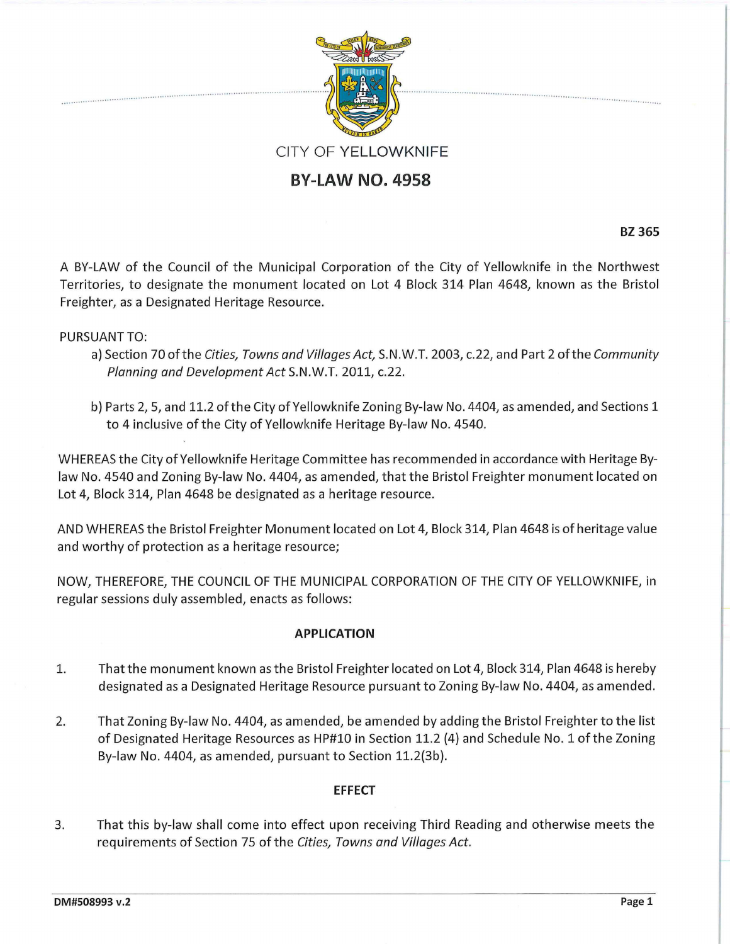

## **BY-LAW NO. 4958**

**BZ365** 

A BY-LAW of the Council of the Municipal Corporation of the City of Yellowknife in the Northwest Territories, to designate the monument located on Lot 4 Block 314 Plan 4648, known as the Bristol Freighter, as a Designated Heritage Resource.

PURSUANT TO:

- a) Section 70 of the Cities, Towns and Villages Act, S.N.W.T. 2003, c.22, and Part 2 of the Community Planning and Development Act S.N.W.T. 2011, c.22.
- b) Parts 2, 5, and 11.2 of the City of Yellowknife Zoning By-law No. 4404, as amended, and Sections 1 to 4 inclusive of the City of Yellowknife Heritage By-law No. 4540.

WHEREAS the City of Yellowknife Heritage Committee has recommended in accordance with Heritage Bylaw No. 4540 and Zoning By-law No. 4404, as amended, that the Bristol Freighter monument located on Lot 4, Block 314, Plan 4648 be designated as a heritage resource.

AND WHEREAS the Bristol Freighter Monument located on Lot 4, Block 314, Plan 4648 is of heritage value and worthy of protection as a heritage resource;

NOW, THEREFORE, THE COUNCIL OF THE MUNICIPAL CORPORATION OF THE CITY OF YELLOWKNIFE, in regular sessions duly assembled, enacts as follows:

## **APPLICATION**

- 1. That the monument known as the Bristol Freighter located on Lot 4, Block 314, Plan 4648 is hereby designated as a Designated Heritage Resource pursuant to Zoning By-law No. 4404, as amended.
- 2. That Zoning By-law No. 4404, as amended, be amended by adding the Bristol Freighter to the list of Designated Heritage Resources as HP#10 in Section 11.2 (4) and Schedule No. 1 of the Zoning By-law No. 4404, as amended, pursuant to Section 11.2(3b).

## **EFFECT**

3. That this by-law shall come into effect upon receiving Third Reading and otherwise meets the requirements of Section 75 of the Cities, Towns and Villages Act.